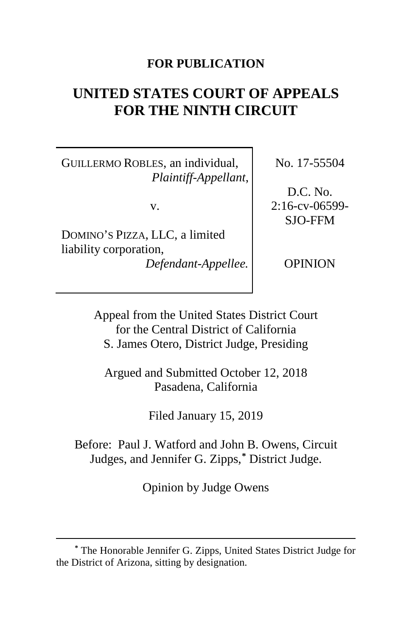### **FOR PUBLICATION**

# **UNITED STATES COURT OF APPEALS FOR THE NINTH CIRCUIT**

GUILLERMO ROBLES, an individual, *Plaintiff-Appellant*,

v.

DOMINO'S PIZZA, LLC, a limited liability corporation,

*Defendant-Appellee.*

No. 17-55504

D.C. No. 2:16-cv-06599- SJO-FFM

OPINION

Appeal from the United States District Court for the Central District of California S. James Otero, District Judge, Presiding

Argued and Submitted October 12, 2018 Pasadena, California

Filed January 15, 2019

Before: Paul J. Watford and John B. Owens, Circuit Judges, and Jennifer G. Zipps,**[\\*](#page-0-0)** District Judge.

Opinion by Judge Owens

<span id="page-0-0"></span>**<sup>\*</sup>** The Honorable Jennifer G. Zipps, United States District Judge for the District of Arizona, sitting by designation.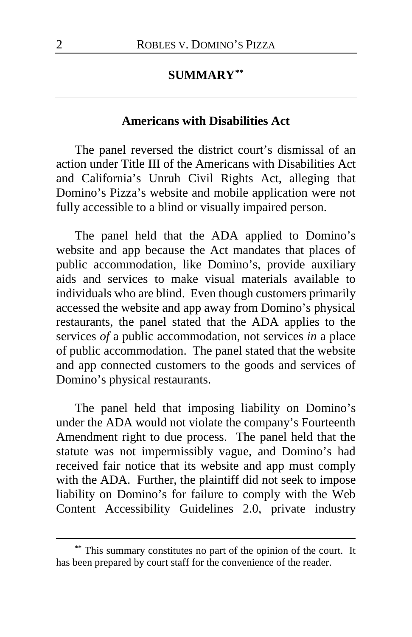#### **SUMMARY[\\*\\*](#page-1-0)**

#### **Americans with Disabilities Act**

The panel reversed the district court's dismissal of an action under Title III of the Americans with Disabilities Act and California's Unruh Civil Rights Act, alleging that Domino's Pizza's website and mobile application were not fully accessible to a blind or visually impaired person.

The panel held that the ADA applied to Domino's website and app because the Act mandates that places of public accommodation, like Domino's, provide auxiliary aids and services to make visual materials available to individuals who are blind. Even though customers primarily accessed the website and app away from Domino's physical restaurants, the panel stated that the ADA applies to the services *of* a public accommodation, not services *in* a place of public accommodation. The panel stated that the website and app connected customers to the goods and services of Domino's physical restaurants.

The panel held that imposing liability on Domino's under the ADA would not violate the company's Fourteenth Amendment right to due process. The panel held that the statute was not impermissibly vague, and Domino's had received fair notice that its website and app must comply with the ADA. Further, the plaintiff did not seek to impose liability on Domino's for failure to comply with the Web Content Accessibility Guidelines 2.0, private industry

<span id="page-1-0"></span>**<sup>\*\*</sup>** This summary constitutes no part of the opinion of the court. It has been prepared by court staff for the convenience of the reader.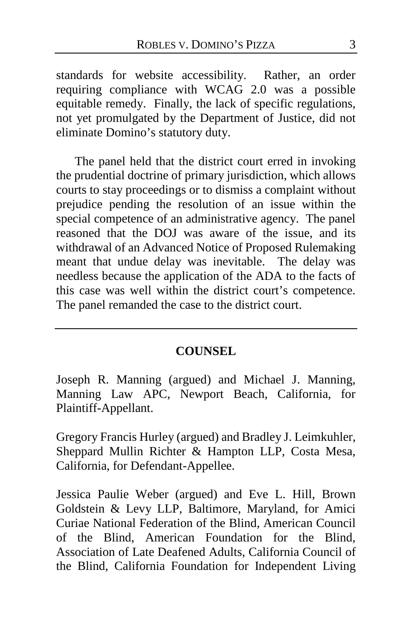standards for website accessibility. Rather, an order requiring compliance with WCAG 2.0 was a possible equitable remedy. Finally, the lack of specific regulations, not yet promulgated by the Department of Justice, did not eliminate Domino's statutory duty.

The panel held that the district court erred in invoking the prudential doctrine of primary jurisdiction, which allows courts to stay proceedings or to dismiss a complaint without prejudice pending the resolution of an issue within the special competence of an administrative agency. The panel reasoned that the DOJ was aware of the issue, and its withdrawal of an Advanced Notice of Proposed Rulemaking meant that undue delay was inevitable. The delay was needless because the application of the ADA to the facts of this case was well within the district court's competence. The panel remanded the case to the district court.

#### **COUNSEL**

Joseph R. Manning (argued) and Michael J. Manning, Manning Law APC, Newport Beach, California, for Plaintiff-Appellant.

Gregory Francis Hurley (argued) and Bradley J. Leimkuhler, Sheppard Mullin Richter & Hampton LLP, Costa Mesa, California, for Defendant-Appellee.

Jessica Paulie Weber (argued) and Eve L. Hill, Brown Goldstein & Levy LLP, Baltimore, Maryland, for Amici Curiae National Federation of the Blind, American Council of the Blind, American Foundation for the Blind, Association of Late Deafened Adults, California Council of the Blind, California Foundation for Independent Living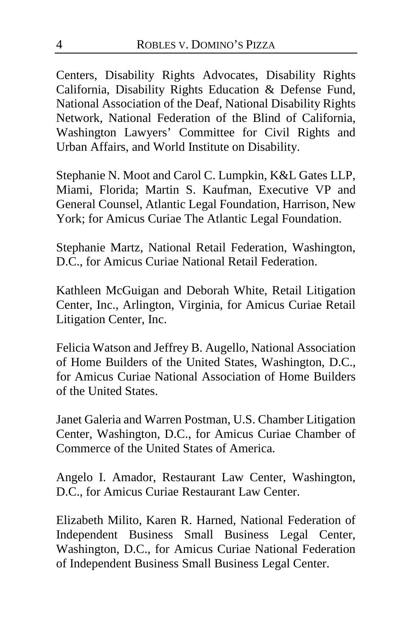Centers, Disability Rights Advocates, Disability Rights California, Disability Rights Education & Defense Fund, National Association of the Deaf, National Disability Rights Network, National Federation of the Blind of California, Washington Lawyers' Committee for Civil Rights and Urban Affairs, and World Institute on Disability.

Stephanie N. Moot and Carol C. Lumpkin, K&L Gates LLP, Miami, Florida; Martin S. Kaufman, Executive VP and General Counsel, Atlantic Legal Foundation, Harrison, New York; for Amicus Curiae The Atlantic Legal Foundation.

Stephanie Martz, National Retail Federation, Washington, D.C., for Amicus Curiae National Retail Federation.

Kathleen McGuigan and Deborah White, Retail Litigation Center, Inc., Arlington, Virginia, for Amicus Curiae Retail Litigation Center, Inc.

Felicia Watson and Jeffrey B. Augello, National Association of Home Builders of the United States, Washington, D.C., for Amicus Curiae National Association of Home Builders of the United States.

Janet Galeria and Warren Postman, U.S. Chamber Litigation Center, Washington, D.C., for Amicus Curiae Chamber of Commerce of the United States of America.

Angelo I. Amador, Restaurant Law Center, Washington, D.C., for Amicus Curiae Restaurant Law Center.

Elizabeth Milito, Karen R. Harned, National Federation of Independent Business Small Business Legal Center, Washington, D.C., for Amicus Curiae National Federation of Independent Business Small Business Legal Center.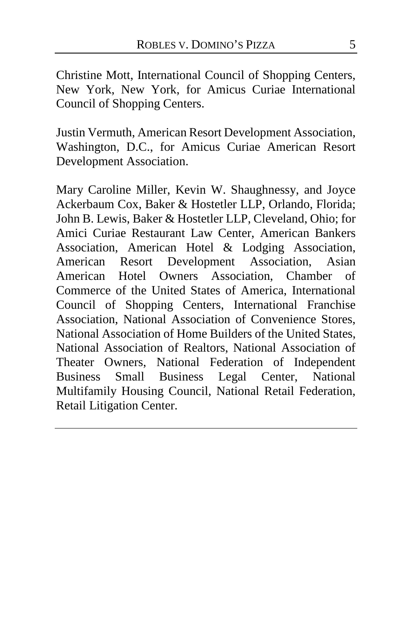Christine Mott, International Council of Shopping Centers, New York, New York, for Amicus Curiae International Council of Shopping Centers.

Justin Vermuth, American Resort Development Association, Washington, D.C., for Amicus Curiae American Resort Development Association.

Mary Caroline Miller, Kevin W. Shaughnessy, and Joyce Ackerbaum Cox, Baker & Hostetler LLP, Orlando, Florida; John B. Lewis, Baker & Hostetler LLP, Cleveland, Ohio; for Amici Curiae Restaurant Law Center, American Bankers Association, American Hotel & Lodging Association, American Resort Development Association, Asian American Hotel Owners Association, Chamber of Commerce of the United States of America, International Council of Shopping Centers, International Franchise Association, National Association of Convenience Stores, National Association of Home Builders of the United States, National Association of Realtors, National Association of Theater Owners, National Federation of Independent Business Small Business Legal Center, National Multifamily Housing Council, National Retail Federation, Retail Litigation Center.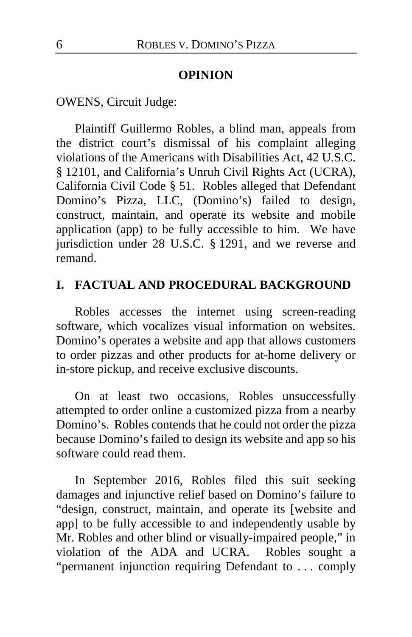#### **OPINION**

OWENS, Circuit Judge:

Plaintiff Guillermo Robles, a blind man, appeals from the district court's dismissal of his complaint alleging violations of the Americans with Disabilities Act, 42 U.S.C. § 12101, and California's Unruh Civil Rights Act (UCRA), California Civil Code § 51. Robles alleged that Defendant Domino's Pizza, LLC, (Domino's) failed to design, construct, maintain, and operate its website and mobile application (app) to be fully accessible to him. We have jurisdiction under 28 U.S.C. § 1291, and we reverse and remand.

## **I. FACTUAL AND PROCEDURAL BACKGROUND**

Robles accesses the internet using screen-reading software, which vocalizes visual information on websites. Domino's operates a website and app that allows customers to order pizzas and other products for at-home delivery or in-store pickup, and receive exclusive discounts.

On at least two occasions, Robles unsuccessfully attempted to order online a customized pizza from a nearby Domino's. Robles contends that he could not order the pizza because Domino's failed to design its website and app so his software could read them.

In September 2016, Robles filed this suit seeking damages and injunctive relief based on Domino's failure to "design, construct, maintain, and operate its [website and app] to be fully accessible to and independently usable by Mr. Robles and other blind or visually-impaired people," in violation of the ADA and UCRA. Robles sought a "permanent injunction requiring Defendant to . . . comply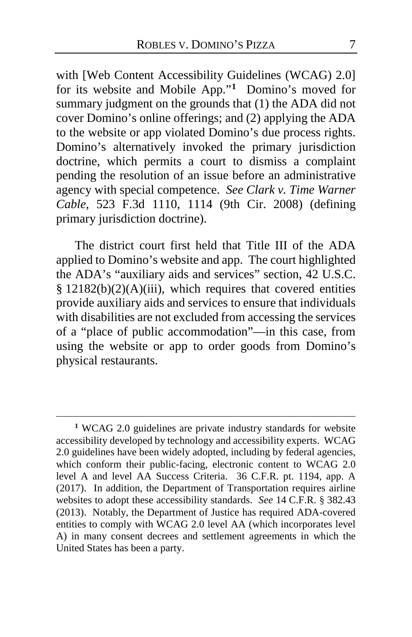with [Web Content Accessibility Guidelines (WCAG) 2.0] for its website and Mobile App."**[1](#page-6-0)** Domino's moved for summary judgment on the grounds that (1) the ADA did not cover Domino's online offerings; and (2) applying the ADA to the website or app violated Domino's due process rights. Domino's alternatively invoked the primary jurisdiction doctrine, which permits a court to dismiss a complaint pending the resolution of an issue before an administrative agency with special competence. *See Clark v. Time Warner Cable*, 523 F.3d 1110, 1114 (9th Cir. 2008) (defining primary jurisdiction doctrine).

The district court first held that Title III of the ADA applied to Domino's website and app. The court highlighted the ADA's "auxiliary aids and services" section, 42 U.S.C. §  $12182(b)(2)(A)(iii)$ , which requires that covered entities provide auxiliary aids and services to ensure that individuals with disabilities are not excluded from accessing the services of a "place of public accommodation"—in this case, from using the website or app to order goods from Domino's physical restaurants.

<span id="page-6-0"></span>**<sup>1</sup>** WCAG 2.0 guidelines are private industry standards for website accessibility developed by technology and accessibility experts. WCAG 2.0 guidelines have been widely adopted, including by federal agencies, which conform their public-facing, electronic content to WCAG 2.0 level A and level AA Success Criteria. 36 C.F.R. pt. 1194, app. A (2017). In addition, the Department of Transportation requires airline websites to adopt these accessibility standards. *See* 14 C.F.R. § 382.43 (2013). Notably, the Department of Justice has required ADA-covered entities to comply with WCAG 2.0 level AA (which incorporates level A) in many consent decrees and settlement agreements in which the United States has been a party.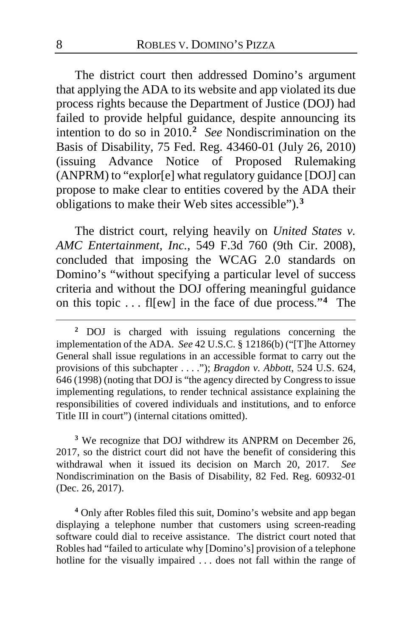The district court then addressed Domino's argument that applying the ADA to its website and app violated its due process rights because the Department of Justice (DOJ) had failed to provide helpful guidance, despite announcing its intention to do so in 2010.**[2](#page-7-0)** *See* Nondiscrimination on the Basis of Disability, 75 Fed. Reg. 43460-01 (July 26, 2010) (issuing Advance Notice of Proposed Rulemaking (ANPRM) to "explor[e] what regulatory guidance [DOJ] can propose to make clear to entities covered by the ADA their obligations to make their Web sites accessible").**[3](#page-7-1)**

The district court, relying heavily on *United States v. AMC Entertainment, Inc.*, 549 F.3d 760 (9th Cir. 2008), concluded that imposing the WCAG 2.0 standards on Domino's "without specifying a particular level of success criteria and without the DOJ offering meaningful guidance on this topic . . . fl[ew] in the face of due process."**[4](#page-7-2)** The

<span id="page-7-1"></span>**<sup>3</sup>** We recognize that DOJ withdrew its ANPRM on December 26, 2017, so the district court did not have the benefit of considering this withdrawal when it issued its decision on March 20, 2017. *See*  Nondiscrimination on the Basis of Disability, 82 Fed. Reg. 60932-01 (Dec. 26, 2017).

<span id="page-7-2"></span>**<sup>4</sup>** Only after Robles filed this suit, Domino's website and app began displaying a telephone number that customers using screen-reading software could dial to receive assistance. The district court noted that Robles had "failed to articulate why [Domino's] provision of a telephone hotline for the visually impaired . . . does not fall within the range of

<span id="page-7-0"></span>**<sup>2</sup>** DOJ is charged with issuing regulations concerning the implementation of the ADA. *See* 42 U.S.C. § 12186(b) ("[T]he Attorney General shall issue regulations in an accessible format to carry out the provisions of this subchapter . . . ."); *Bragdon v. Abbott*, 524 U.S. 624, 646 (1998) (noting that DOJ is "the agency directed by Congress to issue implementing regulations, to render technical assistance explaining the responsibilities of covered individuals and institutions, and to enforce Title III in court") (internal citations omitted).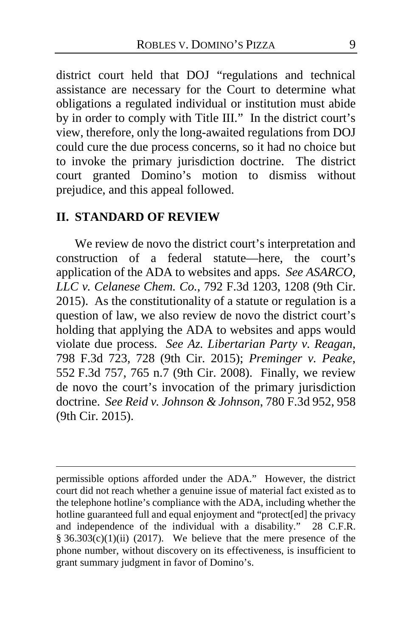district court held that DOJ "regulations and technical assistance are necessary for the Court to determine what obligations a regulated individual or institution must abide by in order to comply with Title III." In the district court's view, therefore, only the long-awaited regulations from DOJ could cure the due process concerns, so it had no choice but to invoke the primary jurisdiction doctrine. The district court granted Domino's motion to dismiss without prejudice, and this appeal followed.

#### **II. STANDARD OF REVIEW**

 $\overline{a}$ 

We review de novo the district court's interpretation and construction of a federal statute—here, the court's application of the ADA to websites and apps. *See ASARCO, LLC v. Celanese Chem. Co.*, 792 F.3d 1203, 1208 (9th Cir. 2015). As the constitutionality of a statute or regulation is a question of law, we also review de novo the district court's holding that applying the ADA to websites and apps would violate due process. *See Az. Libertarian Party v. Reagan*, 798 F.3d 723, 728 (9th Cir. 2015); *Preminger v. Peake*, 552 F.3d 757, 765 n.7 (9th Cir. 2008). Finally, we review de novo the court's invocation of the primary jurisdiction doctrine. *See Reid v. Johnson & Johnson*, 780 F.3d 952, 958 (9th Cir. 2015).

permissible options afforded under the ADA." However, the district court did not reach whether a genuine issue of material fact existed as to the telephone hotline's compliance with the ADA, including whether the hotline guaranteed full and equal enjoyment and "protect[ed] the privacy and independence of the individual with a disability." 28 C.F.R.  $§ 36.303(c)(1)(ii) (2017)$ . We believe that the mere presence of the phone number, without discovery on its effectiveness, is insufficient to grant summary judgment in favor of Domino's.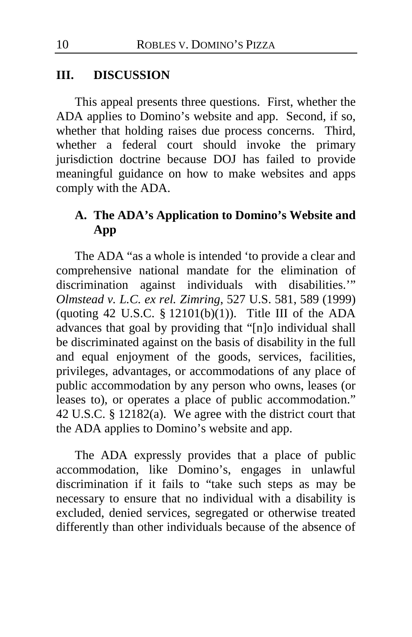#### **III. DISCUSSION**

This appeal presents three questions. First, whether the ADA applies to Domino's website and app. Second, if so, whether that holding raises due process concerns. Third, whether a federal court should invoke the primary jurisdiction doctrine because DOJ has failed to provide meaningful guidance on how to make websites and apps comply with the ADA.

## **A. The ADA's Application to Domino's Website and App**

The ADA "as a whole is intended 'to provide a clear and comprehensive national mandate for the elimination of discrimination against individuals with disabilities.'" *Olmstead v. L.C. ex rel. Zimring*, 527 U.S. 581, 589 (1999) (quoting 42 U.S.C.  $\S$  12101(b)(1)). Title III of the ADA advances that goal by providing that "[n]o individual shall be discriminated against on the basis of disability in the full and equal enjoyment of the goods, services, facilities, privileges, advantages, or accommodations of any place of public accommodation by any person who owns, leases (or leases to), or operates a place of public accommodation." 42 U.S.C. § 12182(a). We agree with the district court that the ADA applies to Domino's website and app.

The ADA expressly provides that a place of public accommodation, like Domino's, engages in unlawful discrimination if it fails to "take such steps as may be necessary to ensure that no individual with a disability is excluded, denied services, segregated or otherwise treated differently than other individuals because of the absence of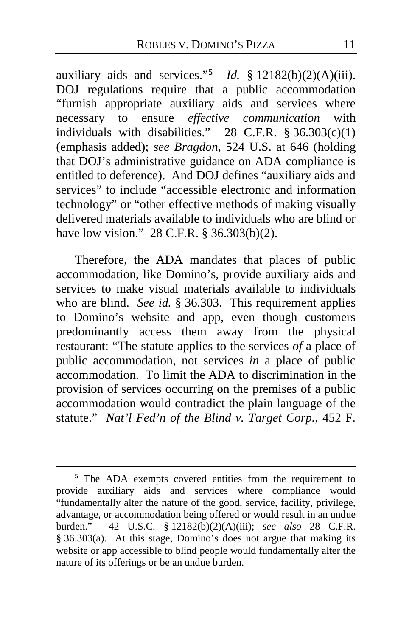auxiliary aids and services."<sup>[5](#page-10-0)</sup> *Id.* § 12182(b)(2)(A)(iii). DOJ regulations require that a public accommodation "furnish appropriate auxiliary aids and services where necessary to ensure *effective communication* with individuals with disabilities." 28 C.F.R.  $§ 36.303(c)(1)$ (emphasis added); *see Bragdon*, 524 U.S. at 646 (holding that DOJ's administrative guidance on ADA compliance is entitled to deference). And DOJ defines "auxiliary aids and services" to include "accessible electronic and information technology" or "other effective methods of making visually delivered materials available to individuals who are blind or have low vision." 28 C.F.R. § 36.303(b)(2).

Therefore, the ADA mandates that places of public accommodation, like Domino's, provide auxiliary aids and services to make visual materials available to individuals who are blind. *See id.* § 36.303. This requirement applies to Domino's website and app, even though customers predominantly access them away from the physical restaurant: "The statute applies to the services *of* a place of public accommodation, not services *in* a place of public accommodation. To limit the ADA to discrimination in the provision of services occurring on the premises of a public accommodation would contradict the plain language of the statute." *Nat'l Fed'n of the Blind v. Target Corp.*, 452 F.

<span id="page-10-0"></span>**<sup>5</sup>** The ADA exempts covered entities from the requirement to provide auxiliary aids and services where compliance would "fundamentally alter the nature of the good, service, facility, privilege, advantage, or accommodation being offered or would result in an undue burden." 42 U.S.C. § 12182(b)(2)(A)(iii); *see also* 28 C.F.R. § 36.303(a). At this stage, Domino's does not argue that making its website or app accessible to blind people would fundamentally alter the nature of its offerings or be an undue burden.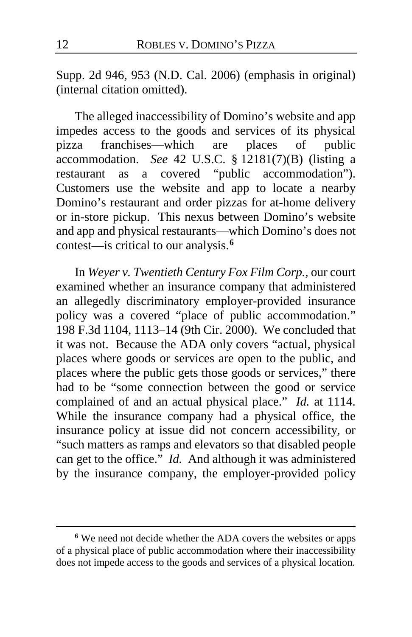Supp. 2d 946, 953 (N.D. Cal. 2006) (emphasis in original) (internal citation omitted).

The alleged inaccessibility of Domino's website and app impedes access to the goods and services of its physical pizza franchises—which are places of public accommodation. *See* 42 U.S.C. § 12181(7)(B) (listing a restaurant as a covered "public accommodation"). Customers use the website and app to locate a nearby Domino's restaurant and order pizzas for at-home delivery or in-store pickup. This nexus between Domino's website and app and physical restaurants—which Domino's does not contest—is critical to our analysis.**[6](#page-11-0)**

In *Weyer v. Twentieth Century Fox Film Corp.*, our court examined whether an insurance company that administered an allegedly discriminatory employer-provided insurance policy was a covered "place of public accommodation." 198 F.3d 1104, 1113–14 (9th Cir. 2000). We concluded that it was not. Because the ADA only covers "actual, physical places where goods or services are open to the public, and places where the public gets those goods or services," there had to be "some connection between the good or service complained of and an actual physical place." *Id.* at 1114. While the insurance company had a physical office, the insurance policy at issue did not concern accessibility, or "such matters as ramps and elevators so that disabled people can get to the office." *Id.* And although it was administered by the insurance company, the employer-provided policy

<span id="page-11-0"></span>**<sup>6</sup>** We need not decide whether the ADA covers the websites or apps of a physical place of public accommodation where their inaccessibility does not impede access to the goods and services of a physical location.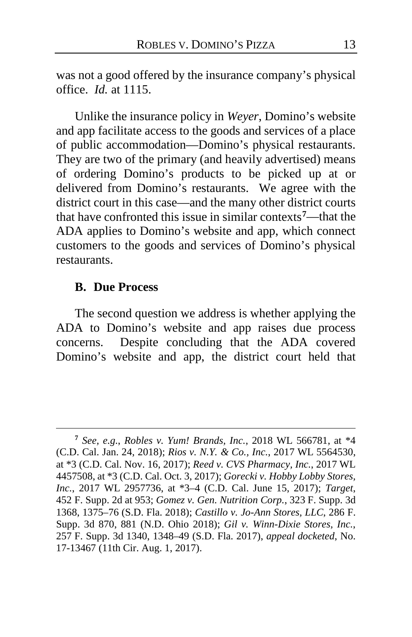was not a good offered by the insurance company's physical office. *Id.* at 1115.

Unlike the insurance policy in *Weyer*, Domino's website and app facilitate access to the goods and services of a place of public accommodation—Domino's physical restaurants. They are two of the primary (and heavily advertised) means of ordering Domino's products to be picked up at or delivered from Domino's restaurants. We agree with the district court in this case—and the many other district courts that have confronted this issue in similar contexts**[7](#page-12-0)**—that the ADA applies to Domino's website and app, which connect customers to the goods and services of Domino's physical restaurants.

#### **B. Due Process**

 $\overline{a}$ 

The second question we address is whether applying the ADA to Domino's website and app raises due process concerns. Despite concluding that the ADA covered Domino's website and app, the district court held that

<span id="page-12-0"></span>**<sup>7</sup>** *See, e.g.*, *Robles v. Yum! Brands, Inc.*, 2018 WL 566781, at \*4 (C.D. Cal. Jan. 24, 2018); *Rios v. N.Y. & Co., Inc.*, 2017 WL 5564530, at \*3 (C.D. Cal. Nov. 16, 2017); *Reed v. CVS Pharmacy, Inc.*, 2017 WL 4457508, at \*3 (C.D. Cal. Oct. 3, 2017); *Gorecki v. Hobby Lobby Stores, Inc.*, 2017 WL 2957736, at \*3–4 (C.D. Cal. June 15, 2017); *Target*, 452 F. Supp. 2d at 953; *Gomez v. Gen. Nutrition Corp.*, 323 F. Supp. 3d 1368, 1375–76 (S.D. Fla. 2018); *Castillo v. Jo-Ann Stores, LLC*, 286 F. Supp. 3d 870, 881 (N.D. Ohio 2018); *Gil v. Winn-Dixie Stores, Inc.*, 257 F. Supp. 3d 1340, 1348–49 (S.D. Fla. 2017), *appeal docketed*, No. 17-13467 (11th Cir. Aug. 1, 2017).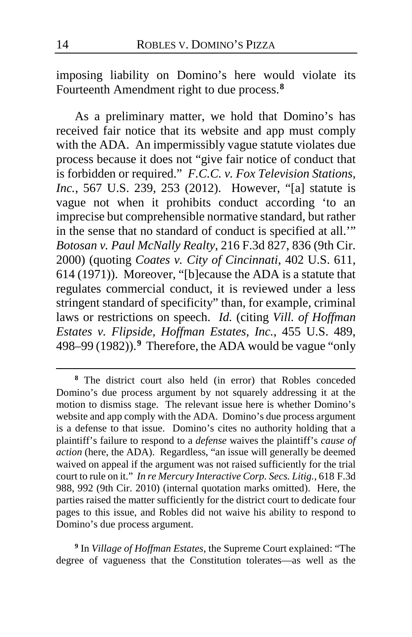imposing liability on Domino's here would violate its Fourteenth Amendment right to due process.**[8](#page-13-0)**

As a preliminary matter, we hold that Domino's has received fair notice that its website and app must comply with the ADA. An impermissibly vague statute violates due process because it does not "give fair notice of conduct that is forbidden or required." *F.C.C. v. Fox Television Stations, Inc.*, 567 U.S. 239, 253 (2012). However, "[a] statute is vague not when it prohibits conduct according 'to an imprecise but comprehensible normative standard, but rather in the sense that no standard of conduct is specified at all.'" *Botosan v. Paul McNally Realty*, 216 F.3d 827, 836 (9th Cir. 2000) (quoting *Coates v. City of Cincinnati*, 402 U.S. 611, 614 (1971)). Moreover, "[b]ecause the ADA is a statute that regulates commercial conduct, it is reviewed under a less stringent standard of specificity" than, for example, criminal laws or restrictions on speech. *Id.* (citing *Vill. of Hoffman Estates v. Flipside, Hoffman Estates, Inc.*, 455 U.S. 489, 498–99 (1982)).**[9](#page-13-1)** Therefore, the ADA would be vague "only

<span id="page-13-1"></span>**<sup>9</sup>** In *Village of Hoffman Estates*, the Supreme Court explained: "The degree of vagueness that the Constitution tolerates—as well as the

<span id="page-13-0"></span>**<sup>8</sup>** The district court also held (in error) that Robles conceded Domino's due process argument by not squarely addressing it at the motion to dismiss stage. The relevant issue here is whether Domino's website and app comply with the ADA. Domino's due process argument is a defense to that issue. Domino's cites no authority holding that a plaintiff's failure to respond to a *defense* waives the plaintiff's *cause of action* (here, the ADA). Regardless, "an issue will generally be deemed waived on appeal if the argument was not raised sufficiently for the trial court to rule on it." *In re Mercury Interactive Corp. Secs. Litig.*, 618 F.3d 988, 992 (9th Cir. 2010) (internal quotation marks omitted). Here, the parties raised the matter sufficiently for the district court to dedicate four pages to this issue, and Robles did not waive his ability to respond to Domino's due process argument.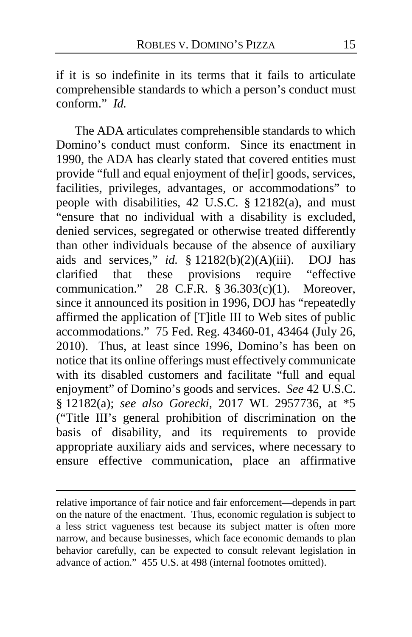if it is so indefinite in its terms that it fails to articulate comprehensible standards to which a person's conduct must conform." *Id.*

The ADA articulates comprehensible standards to which Domino's conduct must conform. Since its enactment in 1990, the ADA has clearly stated that covered entities must provide "full and equal enjoyment of the[ir] goods, services, facilities, privileges, advantages, or accommodations" to people with disabilities, 42 U.S.C. § 12182(a), and must "ensure that no individual with a disability is excluded, denied services, segregated or otherwise treated differently than other individuals because of the absence of auxiliary aids and services," *id.* § 12182(b)(2)(A)(iii). DOJ has clarified that these provisions require "effective communication." 28 C.F.R.  $\S 36.303(c)(1)$ . Moreover, since it announced its position in 1996, DOJ has "repeatedly affirmed the application of [T]itle III to Web sites of public accommodations." 75 Fed. Reg. 43460-01, 43464 (July 26, 2010). Thus, at least since 1996, Domino's has been on notice that its online offerings must effectively communicate with its disabled customers and facilitate "full and equal enjoyment" of Domino's goods and services. *See* 42 U.S.C. § 12182(a); *see also Gorecki*, 2017 WL 2957736, at \*5 ("Title III's general prohibition of discrimination on the basis of disability, and its requirements to provide appropriate auxiliary aids and services, where necessary to ensure effective communication, place an affirmative

relative importance of fair notice and fair enforcement—depends in part on the nature of the enactment. Thus, economic regulation is subject to a less strict vagueness test because its subject matter is often more narrow, and because businesses, which face economic demands to plan behavior carefully, can be expected to consult relevant legislation in advance of action." 455 U.S. at 498 (internal footnotes omitted).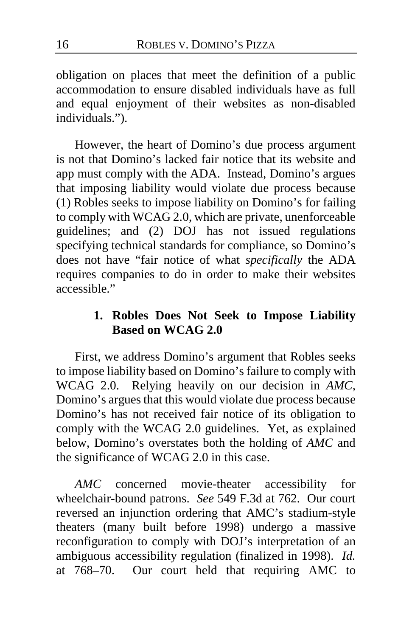obligation on places that meet the definition of a public accommodation to ensure disabled individuals have as full and equal enjoyment of their websites as non-disabled individuals.").

However, the heart of Domino's due process argument is not that Domino's lacked fair notice that its website and app must comply with the ADA. Instead, Domino's argues that imposing liability would violate due process because (1) Robles seeks to impose liability on Domino's for failing to comply with WCAG 2.0, which are private, unenforceable guidelines; and (2) DOJ has not issued regulations specifying technical standards for compliance, so Domino's does not have "fair notice of what *specifically* the ADA requires companies to do in order to make their websites accessible."

## **1. Robles Does Not Seek to Impose Liability Based on WCAG 2.0**

First, we address Domino's argument that Robles seeks to impose liability based on Domino's failure to comply with WCAG 2.0. Relying heavily on our decision in AMC, Relying heavily on our decision in *AMC*, Domino's argues that this would violate due process because Domino's has not received fair notice of its obligation to comply with the WCAG 2.0 guidelines. Yet, as explained below, Domino's overstates both the holding of *AMC* and the significance of WCAG 2.0 in this case.

*AMC* concerned movie-theater accessibility for wheelchair-bound patrons. *See* 549 F.3d at 762. Our court reversed an injunction ordering that AMC's stadium-style theaters (many built before 1998) undergo a massive reconfiguration to comply with DOJ's interpretation of an ambiguous accessibility regulation (finalized in 1998). *Id.*  at 768–70. Our court held that requiring AMC to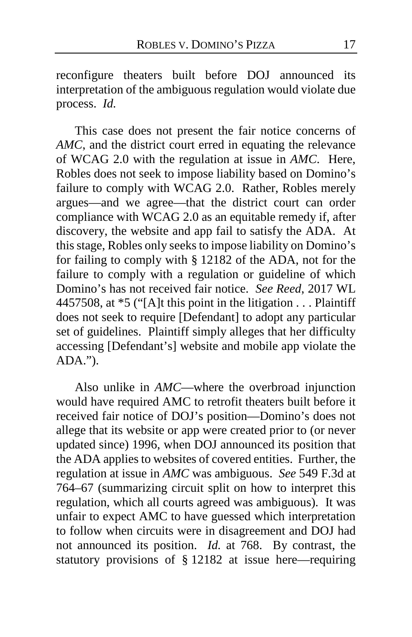reconfigure theaters built before DOJ announced its interpretation of the ambiguous regulation would violate due process. *Id.*

This case does not present the fair notice concerns of *AMC*, and the district court erred in equating the relevance of WCAG 2.0 with the regulation at issue in *AMC*. Here, Robles does not seek to impose liability based on Domino's failure to comply with WCAG 2.0. Rather, Robles merely argues—and we agree—that the district court can order compliance with WCAG 2.0 as an equitable remedy if, after discovery, the website and app fail to satisfy the ADA. At this stage, Robles only seeks to impose liability on Domino's for failing to comply with § 12182 of the ADA, not for the failure to comply with a regulation or guideline of which Domino's has not received fair notice. *See Reed*, 2017 WL 4457508, at \*5 ("[A]t this point in the litigation . . . Plaintiff does not seek to require [Defendant] to adopt any particular set of guidelines. Plaintiff simply alleges that her difficulty accessing [Defendant's] website and mobile app violate the ADA.").

Also unlike in *AMC*—where the overbroad injunction would have required AMC to retrofit theaters built before it received fair notice of DOJ's position—Domino's does not allege that its website or app were created prior to (or never updated since) 1996, when DOJ announced its position that the ADA applies to websites of covered entities. Further, the regulation at issue in *AMC* was ambiguous. *See* 549 F.3d at 764–67 (summarizing circuit split on how to interpret this regulation, which all courts agreed was ambiguous). It was unfair to expect AMC to have guessed which interpretation to follow when circuits were in disagreement and DOJ had not announced its position. *Id.* at 768. By contrast, the statutory provisions of § 12182 at issue here—requiring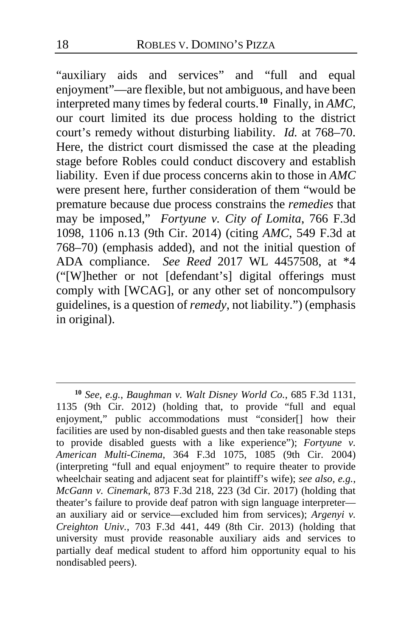"auxiliary aids and services" and "full and equal enjoyment"—are flexible, but not ambiguous, and have been interpreted many times by federal courts.**[10](#page-17-0)** Finally, in *AMC*, our court limited its due process holding to the district court's remedy without disturbing liability. *Id.* at 768–70. Here, the district court dismissed the case at the pleading stage before Robles could conduct discovery and establish liability. Even if due process concerns akin to those in *AMC* were present here, further consideration of them "would be premature because due process constrains the *remedies* that may be imposed," *Fortyune v. City of Lomita*, 766 F.3d 1098, 1106 n.13 (9th Cir. 2014) (citing *AMC*, 549 F.3d at 768–70) (emphasis added), and not the initial question of ADA compliance. *See Reed* 2017 WL 4457508, at \*4 ("[W]hether or not [defendant's] digital offerings must comply with [WCAG], or any other set of noncompulsory guidelines, is a question of *remedy*, not liability.") (emphasis in original).

<span id="page-17-0"></span>**<sup>10</sup>** *See, e.g.*, *Baughman v. Walt Disney World Co.*, 685 F.3d 1131, 1135 (9th Cir. 2012) (holding that, to provide "full and equal enjoyment," public accommodations must "consider[] how their facilities are used by non-disabled guests and then take reasonable steps to provide disabled guests with a like experience"); *Fortyune v. American Multi-Cinema*, 364 F.3d 1075, 1085 (9th Cir. 2004) (interpreting "full and equal enjoyment" to require theater to provide wheelchair seating and adjacent seat for plaintiff's wife); *see also, e.g.*, *McGann v. Cinemark*, 873 F.3d 218, 223 (3d Cir. 2017) (holding that theater's failure to provide deaf patron with sign language interpreter an auxiliary aid or service—excluded him from services); *Argenyi v. Creighton Univ.*, 703 F.3d 441, 449 (8th Cir. 2013) (holding that university must provide reasonable auxiliary aids and services to partially deaf medical student to afford him opportunity equal to his nondisabled peers).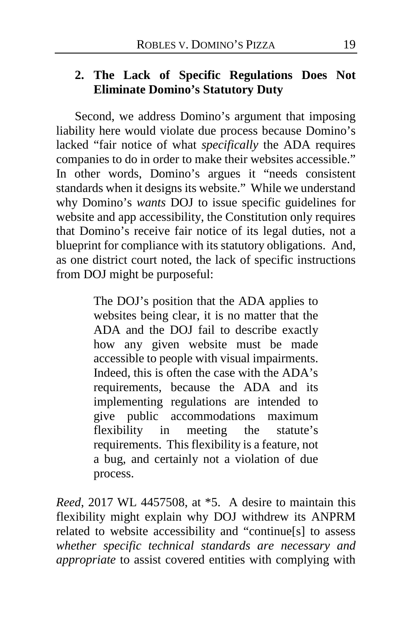## **2. The Lack of Specific Regulations Does Not Eliminate Domino's Statutory Duty**

Second, we address Domino's argument that imposing liability here would violate due process because Domino's lacked "fair notice of what *specifically* the ADA requires companies to do in order to make their websites accessible." In other words, Domino's argues it "needs consistent standards when it designs its website." While we understand why Domino's *wants* DOJ to issue specific guidelines for website and app accessibility, the Constitution only requires that Domino's receive fair notice of its legal duties, not a blueprint for compliance with its statutory obligations. And, as one district court noted, the lack of specific instructions from DOJ might be purposeful:

> The DOJ's position that the ADA applies to websites being clear, it is no matter that the ADA and the DOJ fail to describe exactly how any given website must be made accessible to people with visual impairments. Indeed, this is often the case with the ADA's requirements, because the ADA and its implementing regulations are intended to give public accommodations maximum flexibility in meeting the statute's requirements. This flexibility is a feature, not a bug, and certainly not a violation of due process.

*Reed*, 2017 WL 4457508, at \*5. A desire to maintain this flexibility might explain why DOJ withdrew its ANPRM related to website accessibility and "continue[s] to assess *whether specific technical standards are necessary and appropriate* to assist covered entities with complying with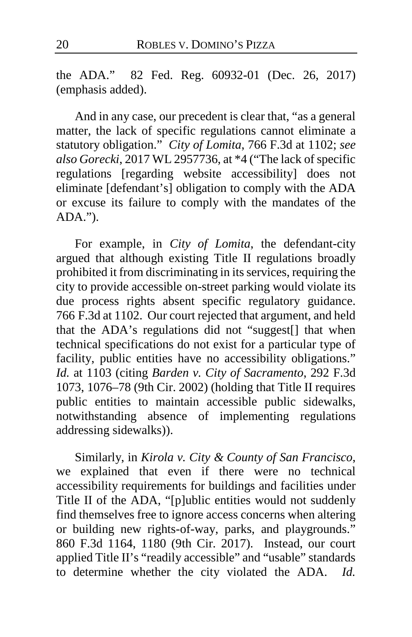the ADA." 82 Fed. Reg. 60932-01 (Dec. 26, 2017) (emphasis added).

And in any case, our precedent is clear that, "as a general matter, the lack of specific regulations cannot eliminate a statutory obligation." *City of Lomita*, 766 F.3d at 1102; *see also Gorecki*, 2017 WL 2957736, at \*4 ("The lack of specific regulations [regarding website accessibility] does not eliminate [defendant's] obligation to comply with the ADA or excuse its failure to comply with the mandates of the ADA.").

For example, in *City of Lomita*, the defendant-city argued that although existing Title II regulations broadly prohibited it from discriminating in its services, requiring the city to provide accessible on-street parking would violate its due process rights absent specific regulatory guidance. 766 F.3d at 1102. Our court rejected that argument, and held that the ADA's regulations did not "suggest[] that when technical specifications do not exist for a particular type of facility, public entities have no accessibility obligations." *Id.* at 1103 (citing *Barden v. City of Sacramento*, 292 F.3d 1073, 1076–78 (9th Cir. 2002) (holding that Title II requires public entities to maintain accessible public sidewalks, notwithstanding absence of implementing regulations addressing sidewalks)).

Similarly, in *Kirola v. City & County of San Francisco*, we explained that even if there were no technical accessibility requirements for buildings and facilities under Title II of the ADA, "[p]ublic entities would not suddenly find themselves free to ignore access concerns when altering or building new rights-of-way, parks, and playgrounds." 860 F.3d 1164, 1180 (9th Cir. 2017). Instead, our court applied Title II's "readily accessible" and "usable" standards to determine whether the city violated the ADA. *Id.*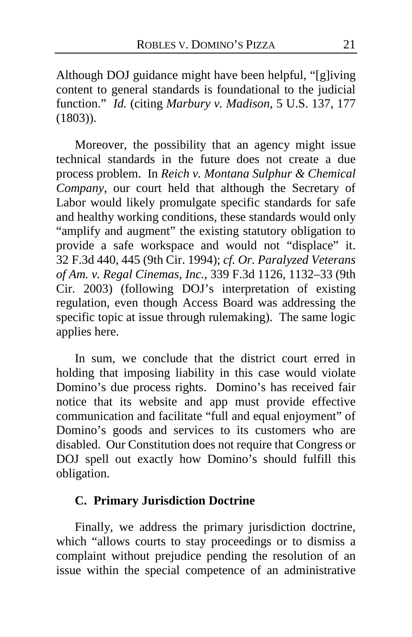Although DOJ guidance might have been helpful, "[g]iving content to general standards is foundational to the judicial function." *Id.* (citing *Marbury v. Madison*, 5 U.S. 137, 177 (1803)).

Moreover, the possibility that an agency might issue technical standards in the future does not create a due process problem. In *Reich v. Montana Sulphur & Chemical Company*, our court held that although the Secretary of Labor would likely promulgate specific standards for safe and healthy working conditions, these standards would only "amplify and augment" the existing statutory obligation to provide a safe workspace and would not "displace" it. 32 F.3d 440, 445 (9th Cir. 1994); *cf. Or. Paralyzed Veterans of Am. v. Regal Cinemas, Inc.*, 339 F.3d 1126, 1132–33 (9th Cir. 2003) (following DOJ's interpretation of existing regulation, even though Access Board was addressing the specific topic at issue through rulemaking). The same logic applies here.

In sum, we conclude that the district court erred in holding that imposing liability in this case would violate Domino's due process rights. Domino's has received fair notice that its website and app must provide effective communication and facilitate "full and equal enjoyment" of Domino's goods and services to its customers who are disabled. Our Constitution does not require that Congress or DOJ spell out exactly how Domino's should fulfill this obligation.

#### **C. Primary Jurisdiction Doctrine**

Finally, we address the primary jurisdiction doctrine, which "allows courts to stay proceedings or to dismiss a complaint without prejudice pending the resolution of an issue within the special competence of an administrative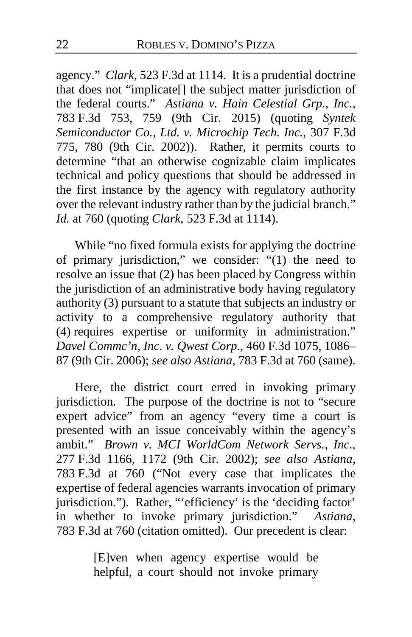agency." *Clark*, 523 F.3d at 1114. It is a prudential doctrine that does not "implicate[] the subject matter jurisdiction of the federal courts." *Astiana v. Hain Celestial Grp., Inc.*, 783 F.3d 753, 759 (9th Cir. 2015) (quoting *Syntek Semiconductor Co., Ltd. v. Microchip Tech. Inc.*, 307 F.3d 775, 780 (9th Cir. 2002)). Rather, it permits courts to determine "that an otherwise cognizable claim implicates technical and policy questions that should be addressed in the first instance by the agency with regulatory authority over the relevant industry rather than by the judicial branch." *Id.* at 760 (quoting *Clark*, 523 F.3d at 1114).

While "no fixed formula exists for applying the doctrine of primary jurisdiction," we consider:  $"(1)$  the need to resolve an issue that (2) has been placed by Congress within the jurisdiction of an administrative body having regulatory authority (3) pursuant to a statute that subjects an industry or activity to a comprehensive regulatory authority that (4) requires expertise or uniformity in administration." *Davel Commc'n, Inc. v. Qwest Corp.*, 460 F.3d 1075, 1086– 87 (9th Cir. 2006); *see also Astiana*, 783 F.3d at 760 (same).

Here, the district court erred in invoking primary jurisdiction. The purpose of the doctrine is not to "secure expert advice" from an agency "every time a court is presented with an issue conceivably within the agency's ambit." *Brown v. MCI WorldCom Network Servs., Inc*., 277 F.3d 1166, 1172 (9th Cir. 2002); *see also Astiana*, 783 F.3d at 760 ("Not every case that implicates the expertise of federal agencies warrants invocation of primary jurisdiction."). Rather, "'efficiency' is the 'deciding factor' in whether to invoke primary jurisdiction." *Astiana*, 783 F.3d at 760 (citation omitted). Our precedent is clear:

> [E]ven when agency expertise would be helpful, a court should not invoke primary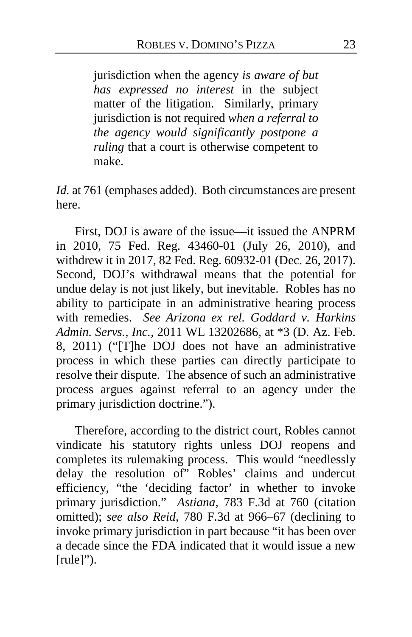jurisdiction when the agency *is aware of but has expressed no interest* in the subject matter of the litigation. Similarly, primary jurisdiction is not required *when a referral to the agency would significantly postpone a ruling* that a court is otherwise competent to make.

*Id.* at 761 (emphases added). Both circumstances are present here.

First, DOJ is aware of the issue—it issued the ANPRM in 2010, 75 Fed. Reg. 43460-01 (July 26, 2010), and withdrew it in 2017, 82 Fed. Reg. 60932-01 (Dec. 26, 2017). Second, DOJ's withdrawal means that the potential for undue delay is not just likely, but inevitable. Robles has no ability to participate in an administrative hearing process with remedies. *See Arizona ex rel. Goddard v. Harkins Admin. Servs., Inc.*, 2011 WL 13202686, at \*3 (D. Az. Feb. 8, 2011) ("[T]he DOJ does not have an administrative process in which these parties can directly participate to resolve their dispute. The absence of such an administrative process argues against referral to an agency under the primary jurisdiction doctrine.").

Therefore, according to the district court, Robles cannot vindicate his statutory rights unless DOJ reopens and completes its rulemaking process. This would "needlessly delay the resolution of" Robles' claims and undercut efficiency, "the 'deciding factor' in whether to invoke primary jurisdiction." *Astiana*, 783 F.3d at 760 (citation omitted); *see also Reid*, 780 F.3d at 966–67 (declining to invoke primary jurisdiction in part because "it has been over a decade since the FDA indicated that it would issue a new [rule]").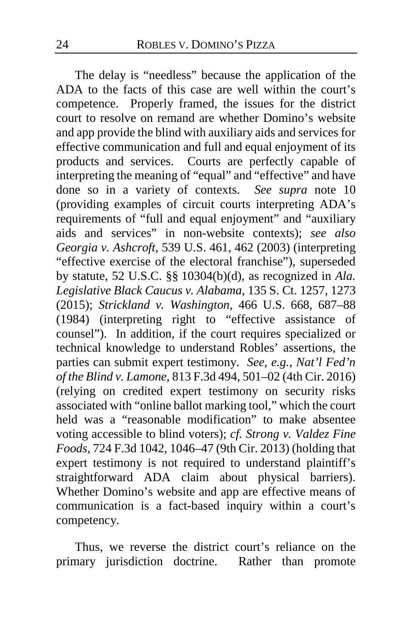The delay is "needless" because the application of the ADA to the facts of this case are well within the court's competence. Properly framed, the issues for the district court to resolve on remand are whether Domino's website and app provide the blind with auxiliary aids and services for effective communication and full and equal enjoyment of its products and services. Courts are perfectly capable of interpreting the meaning of "equal" and "effective" and have done so in a variety of contexts. *See supra* note 10 (providing examples of circuit courts interpreting ADA's requirements of "full and equal enjoyment" and "auxiliary aids and services" in non-website contexts); *see also Georgia v. Ashcroft*, 539 U.S. 461, 462 (2003) (interpreting "effective exercise of the electoral franchise"), superseded by statute, 52 U.S.C. §§ 10304(b)(d), as recognized in *Ala. Legislative Black Caucus v. Alabama*, 135 S. Ct. 1257, 1273 (2015); *Strickland v. Washington*, 466 U.S. 668, 687–88 (1984) (interpreting right to "effective assistance of counsel"). In addition, if the court requires specialized or technical knowledge to understand Robles' assertions, the parties can submit expert testimony. *See, e.g.*, *Nat'l Fed'n of the Blind v. Lamone*, 813 F.3d 494, 501–02 (4th Cir. 2016) (relying on credited expert testimony on security risks associated with "online ballot marking tool," which the court held was a "reasonable modification" to make absentee voting accessible to blind voters); *cf. Strong v. Valdez Fine Foods*, 724 F.3d 1042, 1046–47 (9th Cir. 2013) (holding that expert testimony is not required to understand plaintiff's straightforward ADA claim about physical barriers). Whether Domino's website and app are effective means of communication is a fact-based inquiry within a court's competency.

Thus, we reverse the district court's reliance on the primary jurisdiction doctrine. Rather than promote